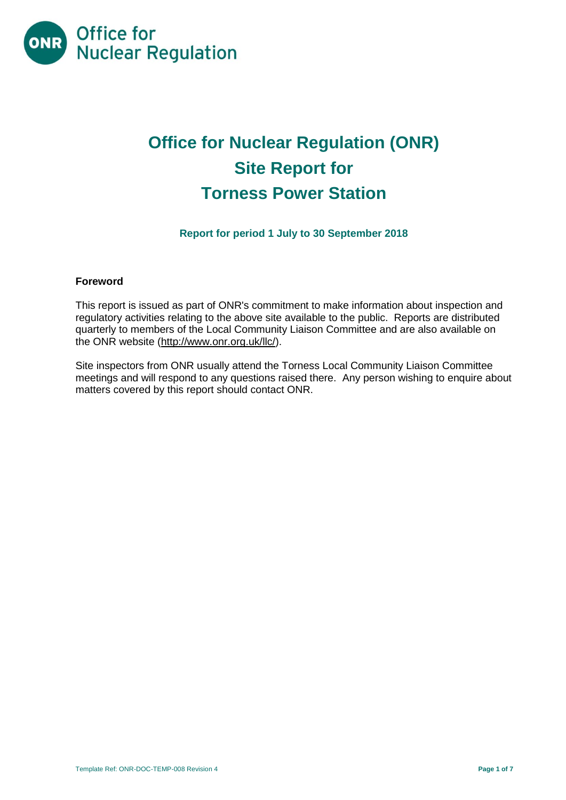

# **Office for Nuclear Regulation (ONR) Site Report for Torness Power Station**

**Report for period 1 July to 30 September 2018**

## **Foreword**

This report is issued as part of ONR's commitment to make information about inspection and regulatory activities relating to the above site available to the public. Reports are distributed quarterly to members of the Local Community Liaison Committee and are also available on the ONR website [\(http://www.onr.org.uk/llc/\)](http://www.onr.org.uk/llc/).

Site inspectors from ONR usually attend the Torness Local Community Liaison Committee meetings and will respond to any questions raised there. Any person wishing to enquire about matters covered by this report should contact ONR.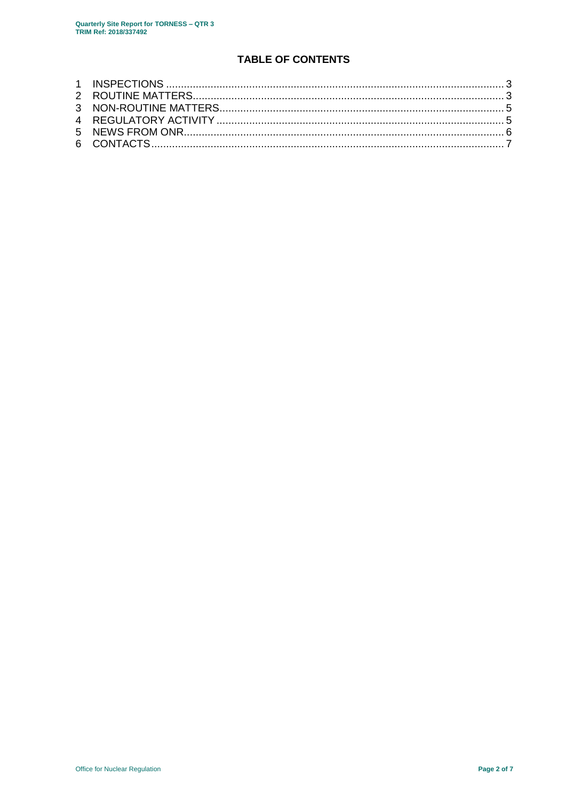# **TABLE OF CONTENTS**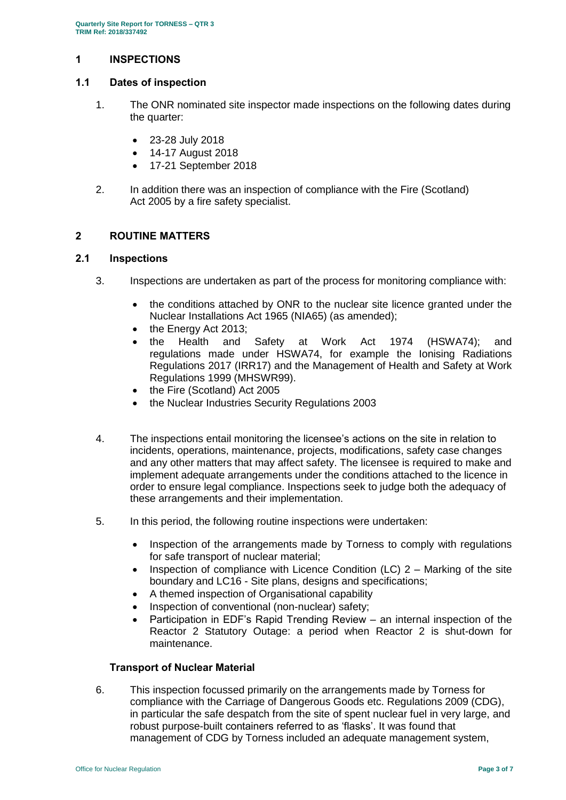## <span id="page-2-0"></span>**1 INSPECTIONS**

## **1.1 Dates of inspection**

- 1. The ONR nominated site inspector made inspections on the following dates during the quarter:
	- 23-28 July 2018
	- 14-17 August 2018
	- 17-21 September 2018
- 2. In addition there was an inspection of compliance with the Fire (Scotland) Act 2005 by a fire safety specialist.

## <span id="page-2-1"></span>**2 ROUTINE MATTERS**

### **2.1 Inspections**

- 3. Inspections are undertaken as part of the process for monitoring compliance with:
	- the conditions attached by ONR to the nuclear site licence granted under the Nuclear Installations Act 1965 (NIA65) (as amended);
	- the Energy Act 2013;
	- the Health and Safety at Work Act 1974 (HSWA74); and regulations made under HSWA74, for example the Ionising Radiations Regulations 2017 (IRR17) and the Management of Health and Safety at Work Regulations 1999 (MHSWR99).
	- the Fire (Scotland) Act 2005
	- the Nuclear Industries Security Regulations 2003
- 4. The inspections entail monitoring the licensee's actions on the site in relation to incidents, operations, maintenance, projects, modifications, safety case changes and any other matters that may affect safety. The licensee is required to make and implement adequate arrangements under the conditions attached to the licence in order to ensure legal compliance. Inspections seek to judge both the adequacy of these arrangements and their implementation.
- 5. In this period, the following routine inspections were undertaken:
	- Inspection of the arrangements made by Torness to comply with regulations for safe transport of nuclear material;
	- Inspection of compliance with Licence Condition (LC)  $2 -$  Marking of the site boundary and LC16 - Site plans, designs and specifications;
	- A themed inspection of Organisational capability
	- Inspection of conventional (non-nuclear) safety;
	- Participation in EDF's Rapid Trending Review an internal inspection of the Reactor 2 Statutory Outage: a period when Reactor 2 is shut-down for maintenance.

#### **Transport of Nuclear Material**

6. This inspection focussed primarily on the arrangements made by Torness for compliance with the Carriage of Dangerous Goods etc. Regulations 2009 (CDG), in particular the safe despatch from the site of spent nuclear fuel in very large, and robust purpose-built containers referred to as 'flasks'. It was found that management of CDG by Torness included an adequate management system,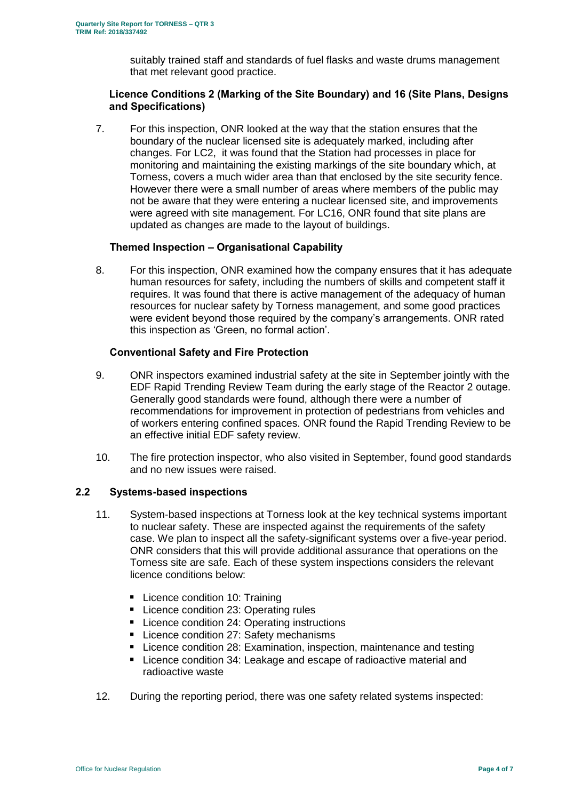suitably trained staff and standards of fuel flasks and waste drums management that met relevant good practice.

### **Licence Conditions 2 (Marking of the Site Boundary) and 16 (Site Plans, Designs and Specifications)**

7. For this inspection, ONR looked at the way that the station ensures that the boundary of the nuclear licensed site is adequately marked, including after changes. For LC2, it was found that the Station had processes in place for monitoring and maintaining the existing markings of the site boundary which, at Torness, covers a much wider area than that enclosed by the site security fence. However there were a small number of areas where members of the public may not be aware that they were entering a nuclear licensed site, and improvements were agreed with site management. For LC16, ONR found that site plans are updated as changes are made to the layout of buildings.

## **Themed Inspection – Organisational Capability**

8. For this inspection, ONR examined how the company ensures that it has adequate human resources for safety, including the numbers of skills and competent staff it requires. It was found that there is active management of the adequacy of human resources for nuclear safety by Torness management, and some good practices were evident beyond those required by the company's arrangements. ONR rated this inspection as 'Green, no formal action'.

### **Conventional Safety and Fire Protection**

- 9. ONR inspectors examined industrial safety at the site in September jointly with the EDF Rapid Trending Review Team during the early stage of the Reactor 2 outage. Generally good standards were found, although there were a number of recommendations for improvement in protection of pedestrians from vehicles and of workers entering confined spaces. ONR found the Rapid Trending Review to be an effective initial EDF safety review.
- 10. The fire protection inspector, who also visited in September, found good standards and no new issues were raised.

## **2.2 Systems-based inspections**

- 11. System-based inspections at Torness look at the key technical systems important to nuclear safety. These are inspected against the requirements of the safety case. We plan to inspect all the safety-significant systems over a five-year period. ONR considers that this will provide additional assurance that operations on the Torness site are safe. Each of these system inspections considers the relevant licence conditions below:
	- **Licence condition 10: Training**
	- Licence condition 23: Operating rules
	- Licence condition 24: Operating instructions
	- **Licence condition 27: Safety mechanisms**
	- **Licence condition 28: Examination, inspection, maintenance and testing**
	- Licence condition 34: Leakage and escape of radioactive material and radioactive waste
- 12. During the reporting period, there was one safety related systems inspected: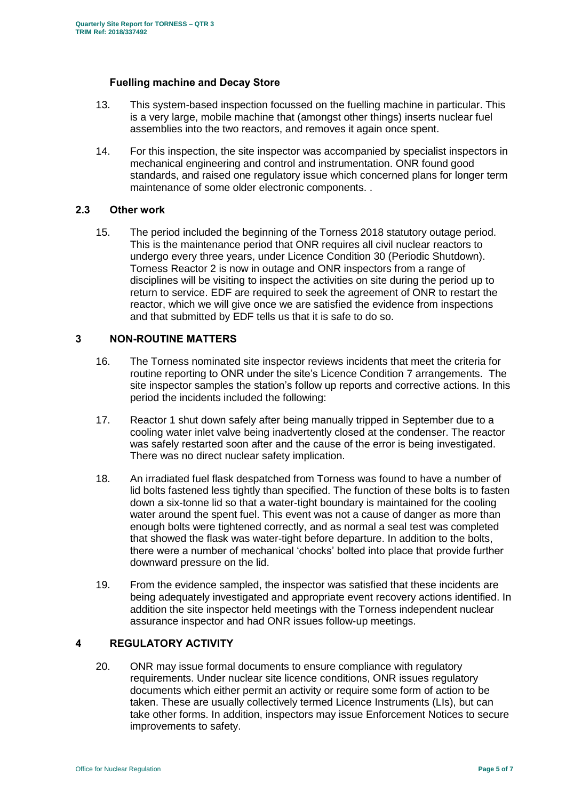## **Fuelling machine and Decay Store**

- 13. This system-based inspection focussed on the fuelling machine in particular. This is a very large, mobile machine that (amongst other things) inserts nuclear fuel assemblies into the two reactors, and removes it again once spent.
- 14. For this inspection, the site inspector was accompanied by specialist inspectors in mechanical engineering and control and instrumentation. ONR found good standards, and raised one regulatory issue which concerned plans for longer term maintenance of some older electronic components. .

### **2.3 Other work**

15. The period included the beginning of the Torness 2018 statutory outage period. This is the maintenance period that ONR requires all civil nuclear reactors to undergo every three years, under Licence Condition 30 (Periodic Shutdown). Torness Reactor 2 is now in outage and ONR inspectors from a range of disciplines will be visiting to inspect the activities on site during the period up to return to service. EDF are required to seek the agreement of ONR to restart the reactor, which we will give once we are satisfied the evidence from inspections and that submitted by EDF tells us that it is safe to do so.

## <span id="page-4-0"></span>**3 NON-ROUTINE MATTERS**

- 16. The Torness nominated site inspector reviews incidents that meet the criteria for routine reporting to ONR under the site's Licence Condition 7 arrangements. The site inspector samples the station's follow up reports and corrective actions. In this period the incidents included the following:
- 17. Reactor 1 shut down safely after being manually tripped in September due to a cooling water inlet valve being inadvertently closed at the condenser. The reactor was safely restarted soon after and the cause of the error is being investigated. There was no direct nuclear safety implication.
- 18. An irradiated fuel flask despatched from Torness was found to have a number of lid bolts fastened less tightly than specified. The function of these bolts is to fasten down a six-tonne lid so that a water-tight boundary is maintained for the cooling water around the spent fuel. This event was not a cause of danger as more than enough bolts were tightened correctly, and as normal a seal test was completed that showed the flask was water-tight before departure. In addition to the bolts, there were a number of mechanical 'chocks' bolted into place that provide further downward pressure on the lid.
- 19. From the evidence sampled, the inspector was satisfied that these incidents are being adequately investigated and appropriate event recovery actions identified. In addition the site inspector held meetings with the Torness independent nuclear assurance inspector and had ONR issues follow-up meetings.

## <span id="page-4-1"></span>**4 REGULATORY ACTIVITY**

20. ONR may issue formal documents to ensure compliance with regulatory requirements. Under nuclear site licence conditions, ONR issues regulatory documents which either permit an activity or require some form of action to be taken. These are usually collectively termed Licence Instruments (LIs), but can take other forms. In addition, inspectors may issue Enforcement Notices to secure improvements to safety.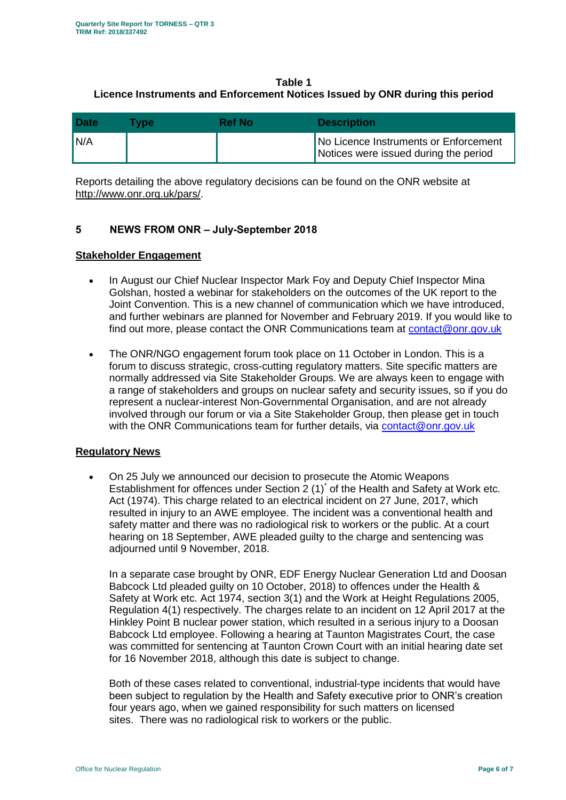# **Table 1 Licence Instruments and Enforcement Notices Issued by ONR during this period**

| <b>Date</b> | <b>Type</b> | Ref No. | <b>Description</b>                                                             |
|-------------|-------------|---------|--------------------------------------------------------------------------------|
| N/A         |             |         | No Licence Instruments or Enforcement<br>Notices were issued during the period |

Reports detailing the above regulatory decisions can be found on the ONR website at [http://www.onr.org.uk/pars/.](http://www.onr.org.uk/pars/)

# <span id="page-5-0"></span>**5 NEWS FROM ONR – July-September 2018**

## **Stakeholder Engagement**

- In August our Chief Nuclear Inspector Mark Foy and Deputy Chief Inspector Mina Golshan, hosted a webinar for stakeholders on the outcomes of the UK report to the Joint Convention. This is a new channel of communication which we have introduced, and further webinars are planned for November and February 2019. If you would like to find out more, please contact the ONR Communications team at [contact@onr.gov.uk](mailto:contact@onr.gov.uk)
- The ONR/NGO engagement forum took place on 11 October in London. This is a forum to discuss strategic, cross-cutting regulatory matters. Site specific matters are normally addressed via Site Stakeholder Groups. We are always keen to engage with a range of stakeholders and groups on nuclear safety and security issues, so if you do represent a nuclear-interest Non-Governmental Organisation, and are not already involved through our forum or via a Site Stakeholder Group, then please get in touch with the ONR Communications team for further details, via [contact@onr.gov.uk](mailto:contact@onr.gov.uk)

# **Regulatory News**

 On 25 July we announced our decision to prosecute the Atomic Weapons Establishment for offences under Section  $2(1)^{*}$  of the Health and Safety at Work etc. Act (1974). This charge related to an electrical incident on 27 June, 2017, which resulted in injury to an AWE employee. The incident was a conventional health and safety matter and there was no radiological risk to workers or the public. At a court hearing on 18 September, AWE pleaded guilty to the charge and sentencing was adjourned until 9 November, 2018.

In a separate case brought by ONR, EDF Energy Nuclear Generation Ltd and Doosan Babcock Ltd pleaded guilty on 10 October, 2018) to offences under the Health & Safety at Work etc. Act 1974, section 3(1) and the Work at Height Regulations 2005, Regulation 4(1) respectively. The charges relate to an incident on 12 April 2017 at the Hinkley Point B nuclear power station, which resulted in a serious injury to a Doosan Babcock Ltd employee. Following a hearing at Taunton Magistrates Court, the case was committed for sentencing at Taunton Crown Court with an initial hearing date set for 16 November 2018, although this date is subject to change.

Both of these cases related to conventional, industrial-type incidents that would have been subject to regulation by the Health and Safety executive prior to ONR's creation four years ago, when we gained responsibility for such matters on licensed sites. There was no radiological risk to workers or the public.